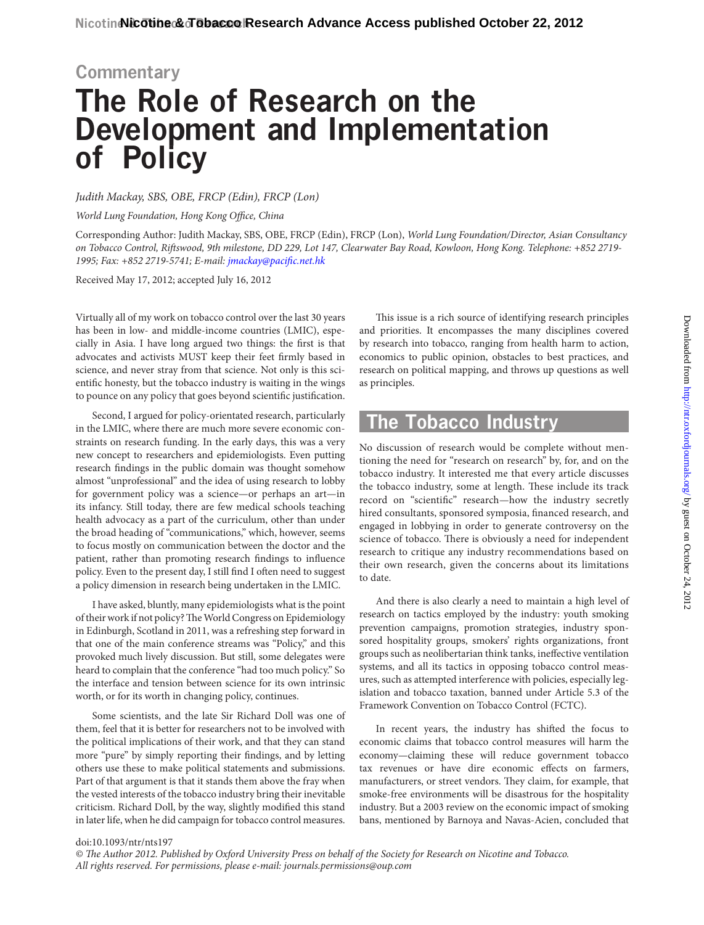# **Commentary The Role of Research on the Development and Implementation of Policy**

*Judith Mackay, SBS, OBE, FRCP (Edin), FRCP (Lon)*

*World Lung Foundation, Hong Kong Office, China*

Corresponding Author: Judith Mackay, SBS, OBE, FRCP (Edin), FRCP (Lon), *World Lung Foundation/Director, Asian Consultancy on Tobacco Control, Riftswood, 9th milestone, DD 229, Lot 147, Clearwater Bay Road, Kowloon, Hong Kong. Telephone: +852 2719- 1995; Fax: +852 2719-5741; E-mail: [jmackay@pacific.net.hk](mailto:jmackay@pacific.net.hk)*

Received May 17, 2012; accepted July 16, 2012

Virtually all of my work on tobacco control over the last 30 years has been in low- and middle-income countries (LMIC), especially in Asia. I have long argued two things: the first is that advocates and activists MUST keep their feet firmly based in science, and never stray from that science. Not only is this scientific honesty, but the tobacco industry is waiting in the wings to pounce on any policy that goes beyond scientific justification.

Second, I argued for policy-orientated research, particularly in the LMIC, where there are much more severe economic constraints on research funding. In the early days, this was a very new concept to researchers and epidemiologists. Even putting research findings in the public domain was thought somehow almost "unprofessional" and the idea of using research to lobby for government policy was a science—or perhaps an art—in its infancy. Still today, there are few medical schools teaching health advocacy as a part of the curriculum, other than under the broad heading of "communications," which, however, seems to focus mostly on communication between the doctor and the patient, rather than promoting research findings to influence policy. Even to the present day, I still find I often need to suggest a policy dimension in research being undertaken in the LMIC.

I have asked, bluntly, many epidemiologists what is the point of their work if not policy? The World Congress on Epidemiology in Edinburgh, Scotland in 2011, was a refreshing step forward in that one of the main conference streams was "Policy," and this provoked much lively discussion. But still, some delegates were heard to complain that the conference "had too much policy." So the interface and tension between science for its own intrinsic worth, or for its worth in changing policy, continues.

Some scientists, and the late Sir Richard Doll was one of them, feel that it is better for researchers not to be involved with the political implications of their work, and that they can stand more "pure" by simply reporting their findings, and by letting others use these to make political statements and submissions. Part of that argument is that it stands them above the fray when the vested interests of the tobacco industry bring their inevitable criticism. Richard Doll, by the way, slightly modified this stand in later life, when he did campaign for tobacco control measures.

This issue is a rich source of identifying research principles and priorities. It encompasses the many disciplines covered by research into tobacco, ranging from health harm to action, economics to public opinion, obstacles to best practices, and research on political mapping, and throws up questions as well as principles.

#### **The Tobacco Industry**

No discussion of research would be complete without mentioning the need for "research on research" by, for, and on the tobacco industry. It interested me that every article discusses the tobacco industry, some at length. These include its track record on "scientific" research—how the industry secretly hired consultants, sponsored symposia, financed research, and engaged in lobbying in order to generate controversy on the science of tobacco. There is obviously a need for independent research to critique any industry recommendations based on their own research, given the concerns about its limitations to date.

And there is also clearly a need to maintain a high level of research on tactics employed by the industry: youth smoking prevention campaigns, promotion strategies, industry sponsored hospitality groups, smokers' rights organizations, front groups such as neolibertarian think tanks, ineffective ventilation systems, and all its tactics in opposing tobacco control measures, such as attempted interference with policies, especially legislation and tobacco taxation, banned under Article 5.3 of the Framework Convention on Tobacco Control (FCTC).

In recent years, the industry has shifted the focus to economic claims that tobacco control measures will harm the economy—claiming these will reduce government tobacco tax revenues or have dire economic effects on farmers, manufacturers, or street vendors. They claim, for example, that smoke-free environments will be disastrous for the hospitality industry. But a 2003 review on the economic impact of smoking bans, mentioned by Barnoya and Navas-Acien, concluded that

#### doi:10.1093/ntr/nts197

*© The Author 2012. Published by Oxford University Press on behalf of the Society for Research on Nicotine and Tobacco. All rights reserved. For permissions, please e-mail: journals.permissions@oup.com*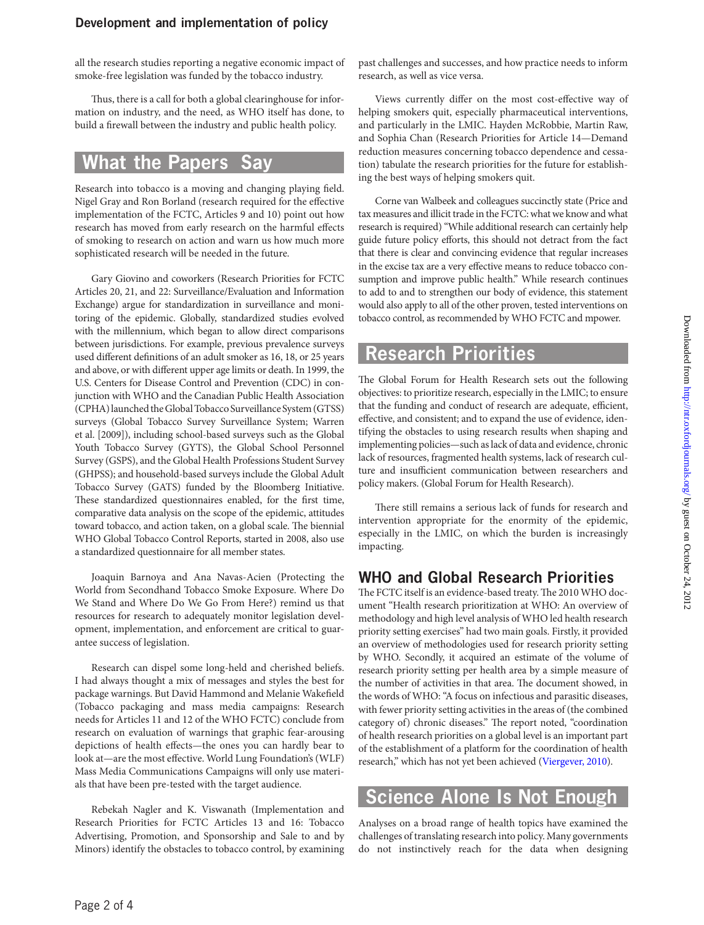all the research studies reporting a negative economic impact of smoke-free legislation was funded by the tobacco industry.

Thus, there is a call for both a global clearinghouse for information on industry, and the need, as WHO itself has done, to build a firewall between the industry and public health policy.

### **What the Papers Say**

Research into tobacco is a moving and changing playing field. Nigel Gray and Ron Borland (research required for the effective implementation of the FCTC, Articles 9 and 10) point out how research has moved from early research on the harmful effects of smoking to research on action and warn us how much more sophisticated research will be needed in the future.

Gary Giovino and coworkers (Research Priorities for FCTC Articles 20, 21, and 22: Surveillance/Evaluation and Information Exchange) argue for standardization in surveillance and monitoring of the epidemic. Globally, standardized studies evolved with the millennium, which began to allow direct comparisons between jurisdictions. For example, previous prevalence surveys used different definitions of an adult smoker as 16, 18, or 25 years and above, or with different upper age limits or death. In 1999, the U.S. Centers for Disease Control and Prevention (CDC) in conjunction with WHO and the Canadian Public Health Association (CPHA) launched the Global Tobacco Surveillance System (GTSS) surveys (Global Tobacco Survey Surveillance System; Warren et al. [2009]), including school-based surveys such as the Global Youth Tobacco Survey (GYTS), the Global School Personnel Survey (GSPS), and the Global Health Professions Student Survey (GHPSS); and household-based surveys include the Global Adult Tobacco Survey (GATS) funded by the Bloomberg Initiative. These standardized questionnaires enabled, for the first time, comparative data analysis on the scope of the epidemic, attitudes toward tobacco, and action taken, on a global scale. The biennial WHO Global Tobacco Control Reports, started in 2008, also use a standardized questionnaire for all member states.

Joaquin Barnoya and Ana Navas-Acien (Protecting the World from Secondhand Tobacco Smoke Exposure. Where Do We Stand and Where Do We Go From Here?) remind us that resources for research to adequately monitor legislation development, implementation, and enforcement are critical to guarantee success of legislation.

Research can dispel some long-held and cherished beliefs. I had always thought a mix of messages and styles the best for package warnings. But David Hammond and Melanie Wakefield (Tobacco packaging and mass media campaigns: Research needs for Articles 11 and 12 of the WHO FCTC) conclude from research on evaluation of warnings that graphic fear-arousing depictions of health effects—the ones you can hardly bear to look at—are the most effective. World Lung Foundation's (WLF) Mass Media Communications Campaigns will only use materials that have been pre-tested with the target audience.

Rebekah Nagler and K. Viswanath (Implementation and Research Priorities for FCTC Articles 13 and 16: Tobacco Advertising, Promotion, and Sponsorship and Sale to and by Minors) identify the obstacles to tobacco control, by examining past challenges and successes, and how practice needs to inform research, as well as vice versa.

Views currently differ on the most cost-effective way of helping smokers quit, especially pharmaceutical interventions, and particularly in the LMIC. Hayden McRobbie, Martin Raw, and Sophia Chan (Research Priorities for Article 14—Demand reduction measures concerning tobacco dependence and cessation) tabulate the research priorities for the future for establishing the best ways of helping smokers quit.

Corne van Walbeek and colleagues succinctly state (Price and tax measures and illicit trade in the FCTC: what we know and what research is required) "While additional research can certainly help guide future policy efforts, this should not detract from the fact that there is clear and convincing evidence that regular increases in the excise tax are a very effective means to reduce tobacco consumption and improve public health." While research continues to add to and to strengthen our body of evidence, this statement would also apply to all of the other proven, tested interventions on tobacco control, as recommended by WHO FCTC and mpower.

#### **Research Priorities**

The Global Forum for Health Research sets out the following objectives: to prioritize research, especially in the LMIC; to ensure that the funding and conduct of research are adequate, efficient, effective, and consistent; and to expand the use of evidence, identifying the obstacles to using research results when shaping and implementing policies—such as lack of data and evidence, chronic lack of resources, fragmented health systems, lack of research culture and insufficient communication between researchers and policy makers. (Global Forum for Health Research).

There still remains a serious lack of funds for research and intervention appropriate for the enormity of the epidemic, especially in the LMIC, on which the burden is increasingly impacting.

#### **WHO and Global Research Priorities**

The FCTC itself is an evidence-based treaty. The 2010 WHO document "Health research prioritization at WHO: An overview of methodology and high level analysis of WHO led health research priority setting exercises" had two main goals. Firstly, it provided an overview of methodologies used for research priority setting by WHO. Secondly, it acquired an estimate of the volume of research priority setting per health area by a simple measure of the number of activities in that area. The document showed, in the words of WHO: "A focus on infectious and parasitic diseases, with fewer priority setting activities in the areas of (the combined category of) chronic diseases." The report noted, "coordination of health research priorities on a global level is an important part of the establishment of a platform for the coordination of health research," which has not yet been achieved ([Viergever, 2010\)](#page-3-0).

#### **Science Alone Is Not Enough**

Analyses on a broad range of health topics have examined the challenges of translating research into policy. Many governments do not instinctively reach for the data when designing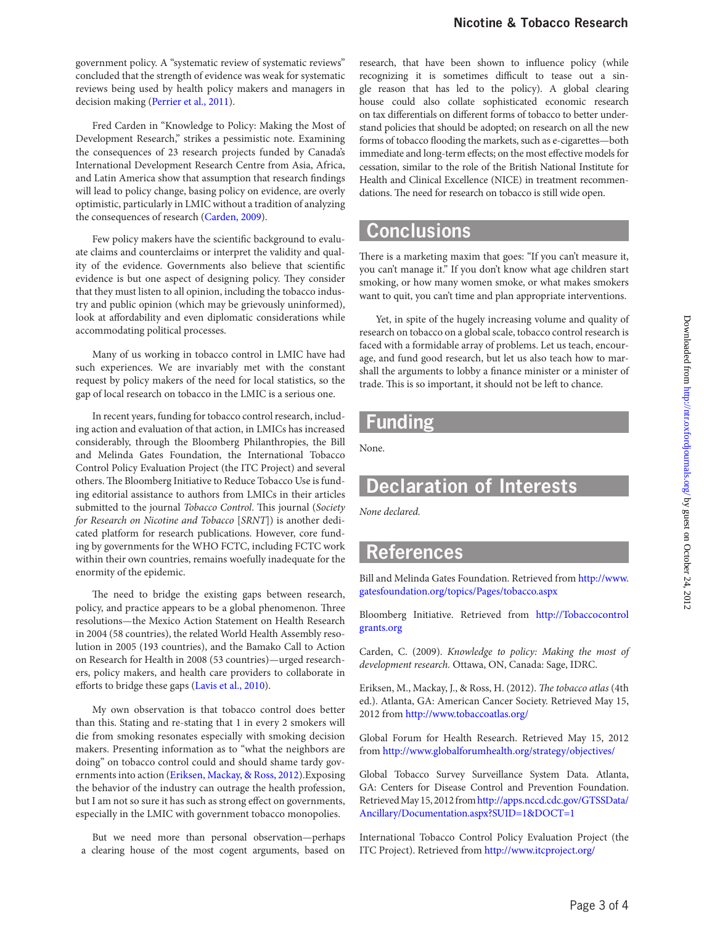government policy. A "systematic review of systematic reviews" concluded that the strength of evidence was weak for systematic reviews being used by health policy makers and managers in decision making [\(Perrier et al., 2011\)](#page-3-1).

Fred Carden in "Knowledge to Policy: Making the Most of Development Research," strikes a pessimistic note. Examining the consequences of 23 research projects funded by Canada's International Development Research Centre from Asia, Africa, and Latin America show that assumption that research findings will lead to policy change, basing policy on evidence, are overly optimistic, particularly in LMIC without a tradition of analyzing the consequences of research [\(Carden, 2009](#page-2-0)).

Few policy makers have the scientific background to evaluate claims and counterclaims or interpret the validity and quality of the evidence. Governments also believe that scientific evidence is but one aspect of designing policy. They consider that they must listen to all opinion, including the tobacco industry and public opinion (which may be grievously uninformed), look at affordability and even diplomatic considerations while accommodating political processes.

Many of us working in tobacco control in LMIC have had such experiences. We are invariably met with the constant request by policy makers of the need for local statistics, so the gap of local research on tobacco in the LMIC is a serious one.

In recent years, funding for tobacco control research, including action and evaluation of that action, in LMICs has increased considerably, through the Bloomberg Philanthropies, the Bill and Melinda Gates Foundation, the International Tobacco Control Policy Evaluation Project (the ITC Project) and several others. The Bloomberg Initiative to Reduce Tobacco Use is funding editorial assistance to authors from LMICs in their articles submitted to the journal *Tobacco Control*. This journal (*Society for Research on Nicotine and Tobacco* [*SRNT*]) is another dedicated platform for research publications. However, core funding by governments for the WHO FCTC, including FCTC work within their own countries, remains woefully inadequate for the enormity of the epidemic.

The need to bridge the existing gaps between research, policy, and practice appears to be a global phenomenon. Three resolutions—the Mexico Action Statement on Health Research in 2004 (58 countries), the related World Health Assembly resolution in 2005 (193 countries), and the Bamako Call to Action on Research for Health in 2008 (53 countries)—urged researchers, policy makers, and health care providers to collaborate in efforts to bridge these gaps ([Lavis et al., 2010\)](#page-3-2).

My own observation is that tobacco control does better than this. Stating and re-stating that 1 in every 2 smokers will die from smoking resonates especially with smoking decision makers. Presenting information as to "what the neighbors are doing" on tobacco control could and should shame tardy governments into action ([Eriksen, Mackay, & Ross, 2012\)](#page-2-1).Exposing the behavior of the industry can outrage the health profession, but I am not so sure it has such as strong effect on governments, especially in the LMIC with government tobacco monopolies.

But we need more than personal observation—perhaps a clearing house of the most cogent arguments, based on research, that have been shown to influence policy (while recognizing it is sometimes difficult to tease out a single reason that has led to the policy). A global clearing house could also collate sophisticated economic research on tax differentials on different forms of tobacco to better understand policies that should be adopted; on research on all the new forms of tobacco flooding the markets, such as e-cigarettes—both immediate and long-term effects; on the most effective models for cessation, similar to the role of the British National Institute for Health and Clinical Excellence (NICE) in treatment recommendations. The need for research on tobacco is still wide open.

#### **Conclusions**

There is a marketing maxim that goes: "If you can't measure it, you can't manage it." If you don't know what age children start smoking, or how many women smoke, or what makes smokers want to quit, you can't time and plan appropriate interventions.

Yet, in spite of the hugely increasing volume and quality of research on tobacco on a global scale, tobacco control research is faced with a formidable array of problems. Let us teach, encourage, and fund good research, but let us also teach how to marshall the arguments to lobby a finance minister or a minister of trade. This is so important, it should not be left to chance.

## **Funding**

None.

# **Declaration of Interests**

*None declared.*

### **References**

Bill and Melinda Gates Foundation. Retrieved from [http://www.](http://www.gatesfoundation.org/topics/Pages/tobacco.aspx) [gatesfoundation.org/topics/Pages/tobacco.aspx](http://www.gatesfoundation.org/topics/Pages/tobacco.aspx)

Bloomberg Initiative. Retrieved from [http://Tobaccocontrol](http://Tobaccocontrolgrants.org)  [grants.org](http://Tobaccocontrolgrants.org)

<span id="page-2-0"></span>Carden, C. (2009). *Knowledge to policy: Making the most of development research.* Ottawa, ON, Canada: Sage, IDRC.

<span id="page-2-1"></span>Eriksen, M., Mackay, J., & Ross, H. (2012). *The tobacco atlas* (4th ed.). Atlanta, GA: American Cancer Society. Retrieved May 15, 2012 from<http://www.tobaccoatlas.org/>

Global Forum for Health Research. Retrieved May 15, 2012 from <http://www.globalforumhealth.org/strategy/objectives/>

Global Tobacco Survey Surveillance System Data. Atlanta, GA: Centers for Disease Control and Prevention Foundation. Retrieved May 15, 2012 from [http://apps.nccd.cdc.gov/GTSSData/](http://apps.nccd.cdc.gov/GTSSData/Ancillary/Documentation.aspx?SUID=1&DOCT=1) [Ancillary/Documentation.aspx?SUID=1&DOCT=1](http://apps.nccd.cdc.gov/GTSSData/Ancillary/Documentation.aspx?SUID=1&DOCT=1)

International Tobacco Control Policy Evaluation Project (the ITC Project). Retrieved from <http://www.itcproject.org/>